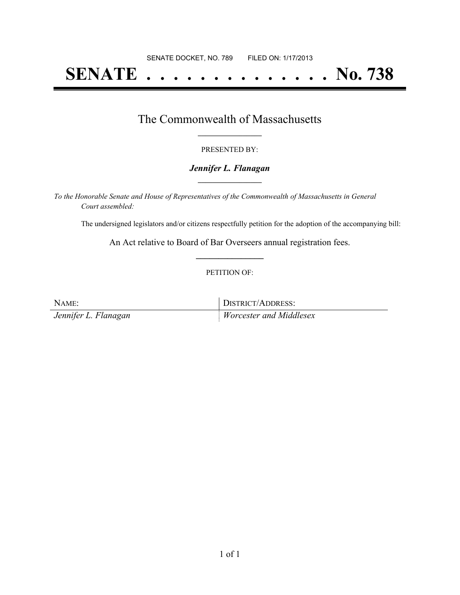# **SENATE . . . . . . . . . . . . . . No. 738**

### The Commonwealth of Massachusetts **\_\_\_\_\_\_\_\_\_\_\_\_\_\_\_\_\_**

#### PRESENTED BY:

#### *Jennifer L. Flanagan* **\_\_\_\_\_\_\_\_\_\_\_\_\_\_\_\_\_**

*To the Honorable Senate and House of Representatives of the Commonwealth of Massachusetts in General Court assembled:*

The undersigned legislators and/or citizens respectfully petition for the adoption of the accompanying bill:

An Act relative to Board of Bar Overseers annual registration fees. **\_\_\_\_\_\_\_\_\_\_\_\_\_\_\_**

#### PETITION OF:

| NAME:                | DISTRICT/ADDRESS:       |
|----------------------|-------------------------|
| Jennifer L. Flanagan | Worcester and Middlesex |